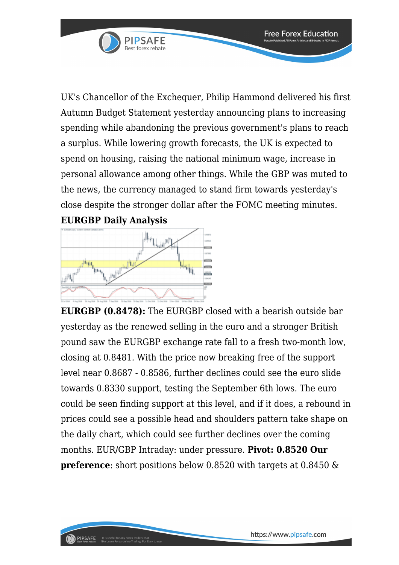

UK's Chancellor of the Exchequer, Philip Hammond delivered his first Autumn Budget Statement yesterday announcing plans to increasing spending while abandoning the previous government's plans to reach a surplus. While lowering growth forecasts, the UK is expected to spend on housing, raising the national minimum wage, increase in personal allowance among other things. While the GBP was muted to the news, the currency managed to stand firm towards yesterday's close despite the stronger dollar after the FOMC meeting minutes. **EURGBP Daily Analysis**



**EURGBP (0.8478):** The EURGBP closed with a bearish outside bar yesterday as the renewed selling in the euro and a stronger British pound saw the EURGBP exchange rate fall to a fresh two-month low, closing at 0.8481. With the price now breaking free of the support level near 0.8687 - 0.8586, further declines could see the euro slide towards 0.8330 support, testing the September 6th lows. The euro could be seen finding support at this level, and if it does, a rebound in prices could see a possible head and shoulders pattern take shape on the daily chart, which could see further declines over the coming months. EUR/GBP Intraday: under pressure. **Pivot: 0.8520 Our preference**: short positions below 0.8520 with targets at 0.8450 &

**Free Forex Education**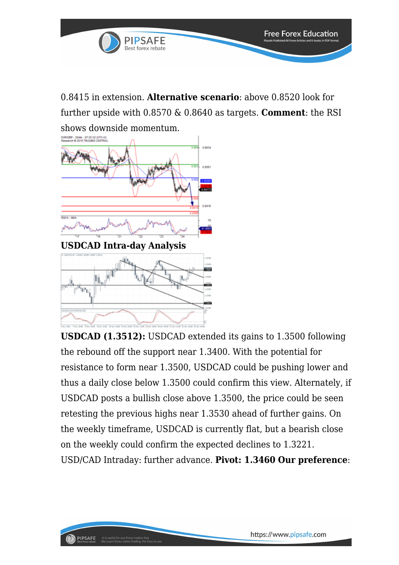

0.8415 in extension. **Alternative scenario**: above 0.8520 look for further upside with 0.8570 & 0.8640 as targets. **Comment**: the RSI shows downside momentum.



PIPSAFE

It is useful for any Forex traders that<br>like Learn Forex online Trading. For Ea

**USDCAD (1.3512):** USDCAD extended its gains to 1.3500 following the rebound off the support near 1.3400. With the potential for resistance to form near 1.3500, USDCAD could be pushing lower and thus a daily close below 1.3500 could confirm this view. Alternately, if USDCAD posts a bullish close above 1.3500, the price could be seen retesting the previous highs near 1.3530 ahead of further gains. On the weekly timeframe, USDCAD is currently flat, but a bearish close on the weekly could confirm the expected declines to 1.3221. USD/CAD Intraday: further advance. **Pivot: 1.3460 Our preference**: